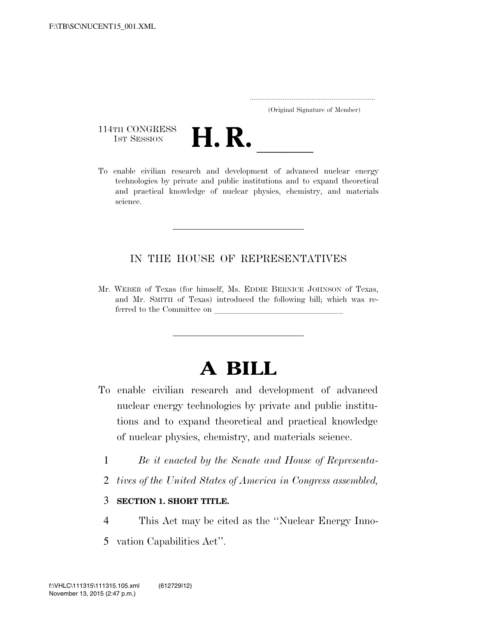..................................................................... (Original Signature of Member)

114TH CONGRESS<br>1st Session



114TH CONGRESS<br>1st SESSION<br>To enable civilian research and development of advanced nuclear energy technologies by private and public institutions and to expand theoretical and practical knowledge of nuclear physics, chemistry, and materials science.

## IN THE HOUSE OF REPRESENTATIVES

Mr. WEBER of Texas (for himself, Ms. EDDIE BERNICE JOHNSON of Texas, and Mr. SMITH of Texas) introduced the following bill; which was referred to the Committee on  $\_$ 

# **A BILL**

- To enable civilian research and development of advanced nuclear energy technologies by private and public institutions and to expand theoretical and practical knowledge of nuclear physics, chemistry, and materials science.
	- 1 *Be it enacted by the Senate and House of Representa-*
	- 2 *tives of the United States of America in Congress assembled,*

### 3 **SECTION 1. SHORT TITLE.**

- 4 This Act may be cited as the ''Nuclear Energy Inno-
- 5 vation Capabilities Act''.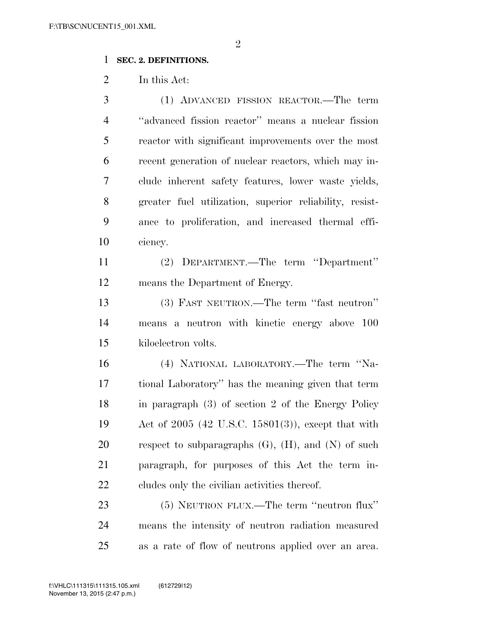#### **SEC. 2. DEFINITIONS.**

In this Act:

 (1) ADVANCED FISSION REACTOR.—The term ''advanced fission reactor'' means a nuclear fission reactor with significant improvements over the most recent generation of nuclear reactors, which may in- clude inherent safety features, lower waste yields, greater fuel utilization, superior reliability, resist- ance to proliferation, and increased thermal effi-ciency.

 (2) DEPARTMENT.—The term ''Department'' means the Department of Energy.

 (3) FAST NEUTRON.—The term ''fast neutron'' means a neutron with kinetic energy above 100 kiloelectron volts.

 (4) NATIONAL LABORATORY.—The term ''Na- tional Laboratory'' has the meaning given that term in paragraph (3) of section 2 of the Energy Policy Act of 2005 (42 U.S.C. 15801(3)), except that with 20 respect to subparagraphs  $(G)$ ,  $(H)$ , and  $(N)$  of such paragraph, for purposes of this Act the term in-cludes only the civilian activities thereof.

 (5) NEUTRON FLUX.—The term ''neutron flux'' means the intensity of neutron radiation measured as a rate of flow of neutrons applied over an area.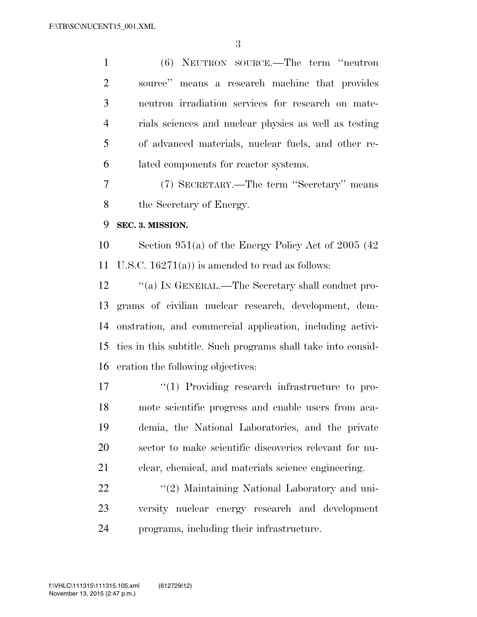(6) NEUTRON SOURCE.—The term ''neutron source'' means a research machine that provides neutron irradiation services for research on mate- rials sciences and nuclear physics as well as testing of advanced materials, nuclear fuels, and other re-lated components for reactor systems.

 (7) SECRETARY.—The term ''Secretary'' means the Secretary of Energy.

**SEC. 3. MISSION.** 

 Section 951(a) of the Energy Policy Act of 2005 (42 11 U.S.C.  $16271(a)$  is amended to read as follows:

12 "(a) IN GENERAL.—The Secretary shall conduct pro- grams of civilian nuclear research, development, dem- onstration, and commercial application, including activi- ties in this subtitle. Such programs shall take into consid-eration the following objectives:

 $\frac{1}{2}$  Providing research infrastructure to pro- mote scientific progress and enable users from aca- demia, the National Laboratories, and the private sector to make scientific discoveries relevant for nu-clear, chemical, and materials science engineering.

22 ''(2) Maintaining National Laboratory and uni- versity nuclear energy research and development programs, including their infrastructure.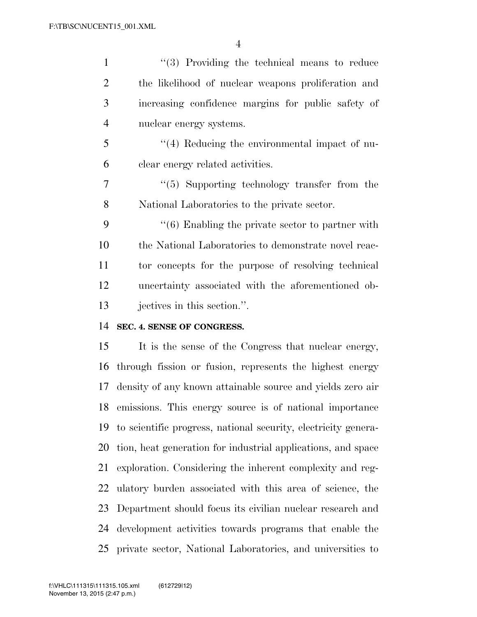''(3) Providing the technical means to reduce the likelihood of nuclear weapons proliferation and increasing confidence margins for public safety of nuclear energy systems. ''(4) Reducing the environmental impact of nu- clear energy related activities. ''(5) Supporting technology transfer from the National Laboratories to the private sector. 9 ''(6) Enabling the private sector to partner with the National Laboratories to demonstrate novel reac- tor concepts for the purpose of resolving technical uncertainty associated with the aforementioned ob- jectives in this section.''. **SEC. 4. SENSE OF CONGRESS.** 

 It is the sense of the Congress that nuclear energy, through fission or fusion, represents the highest energy density of any known attainable source and yields zero air emissions. This energy source is of national importance to scientific progress, national security, electricity genera- tion, heat generation for industrial applications, and space exploration. Considering the inherent complexity and reg- ulatory burden associated with this area of science, the Department should focus its civilian nuclear research and development activities towards programs that enable the private sector, National Laboratories, and universities to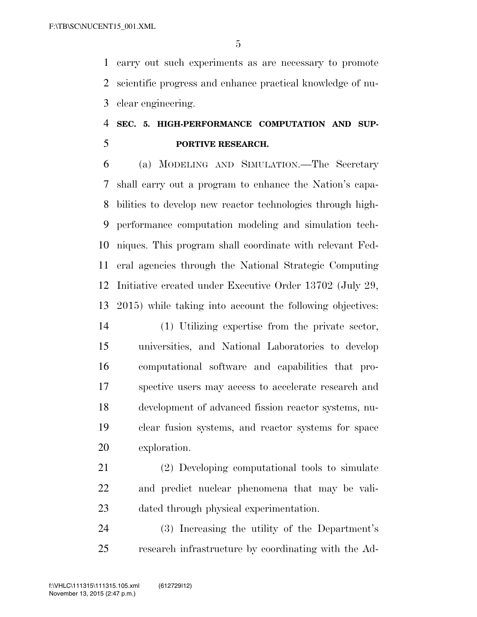carry out such experiments as are necessary to promote scientific progress and enhance practical knowledge of nu-clear engineering.

# **SEC. 5. HIGH-PERFORMANCE COMPUTATION AND SUP-PORTIVE RESEARCH.**

 (a) MODELING AND SIMULATION.—The Secretary shall carry out a program to enhance the Nation's capa- bilities to develop new reactor technologies through high- performance computation modeling and simulation tech- niques. This program shall coordinate with relevant Fed- eral agencies through the National Strategic Computing Initiative created under Executive Order 13702 (July 29, 2015) while taking into account the following objectives:

 (1) Utilizing expertise from the private sector, universities, and National Laboratories to develop computational software and capabilities that pro- spective users may access to accelerate research and development of advanced fission reactor systems, nu- clear fusion systems, and reactor systems for space exploration.

 (2) Developing computational tools to simulate and predict nuclear phenomena that may be vali-dated through physical experimentation.

 (3) Increasing the utility of the Department's research infrastructure by coordinating with the Ad-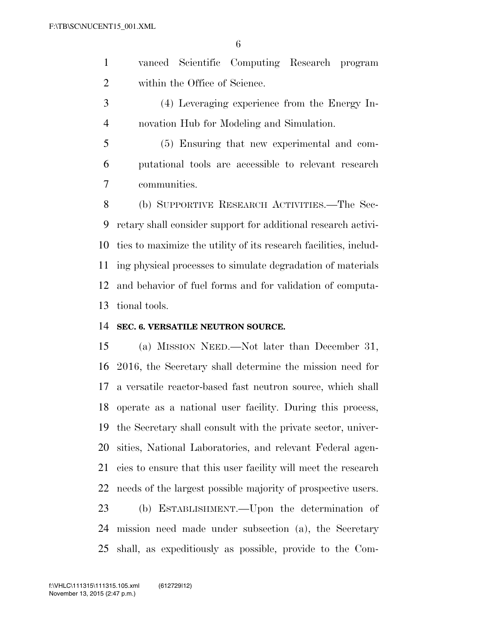vanced Scientific Computing Research program within the Office of Science.

 (4) Leveraging experience from the Energy In-novation Hub for Modeling and Simulation.

 (5) Ensuring that new experimental and com- putational tools are accessible to relevant research communities.

 (b) SUPPORTIVE RESEARCH ACTIVITIES.—The Sec- retary shall consider support for additional research activi- ties to maximize the utility of its research facilities, includ- ing physical processes to simulate degradation of materials and behavior of fuel forms and for validation of computa-tional tools.

#### **SEC. 6. VERSATILE NEUTRON SOURCE.**

 (a) MISSION NEED.—Not later than December 31, 2016, the Secretary shall determine the mission need for a versatile reactor-based fast neutron source, which shall operate as a national user facility. During this process, the Secretary shall consult with the private sector, univer- sities, National Laboratories, and relevant Federal agen- cies to ensure that this user facility will meet the research needs of the largest possible majority of prospective users. (b) ESTABLISHMENT.—Upon the determination of mission need made under subsection (a), the Secretary

shall, as expeditiously as possible, provide to the Com-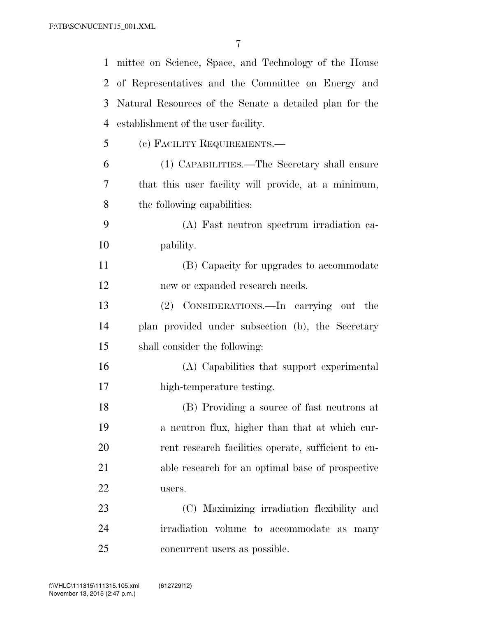| $\mathbf{1}$ | mittee on Science, Space, and Technology of the House   |
|--------------|---------------------------------------------------------|
| 2            | of Representatives and the Committee on Energy and      |
| 3            | Natural Resources of the Senate a detailed plan for the |
| 4            | establishment of the user facility.                     |
| 5            | (c) FACILITY REQUIREMENTS.—                             |
| 6            | (1) CAPABILITIES.—The Secretary shall ensure            |
| 7            | that this user facility will provide, at a minimum,     |
| 8            | the following capabilities:                             |
| 9            | (A) Fast neutron spectrum irradiation ca-               |
| 10           | pability.                                               |
| 11           | (B) Capacity for upgrades to accommodate                |
| 12           | new or expanded research needs.                         |
| 13           | (2) CONSIDERATIONS.—In carrying out the                 |
| 14           | plan provided under subsection (b), the Secretary       |
| 15           | shall consider the following:                           |
| 16           | (A) Capabilities that support experimental              |
| 17           | high-temperature testing.                               |
| 18           | (B) Providing a source of fast neutrons at              |
| 19           | a neutron flux, higher than that at which cur-          |
| 20           | rent research facilities operate, sufficient to en-     |
| 21           | able research for an optimal base of prospective        |
| 22           | users.                                                  |
| 23           | (C) Maximizing irradiation flexibility and              |
| 24           | irradiation volume to accommodate as many               |
| 25           | concurrent users as possible.                           |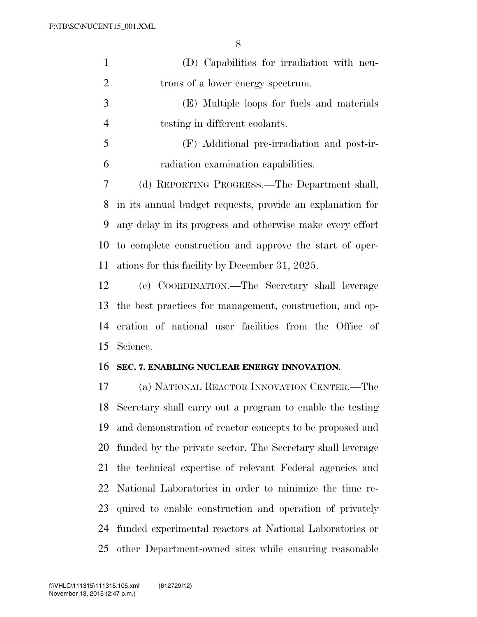| $\mathbf{1}$   | (D) Capabilities for irradiation with neu-                 |
|----------------|------------------------------------------------------------|
| $\overline{2}$ | trons of a lower energy spectrum.                          |
| 3              | (E) Multiple loops for fuels and materials                 |
| $\overline{4}$ | testing in different coolants.                             |
| 5              | (F) Additional pre-irradiation and post-ir-                |
| 6              | radiation examination capabilities.                        |
| 7              | (d) REPORTING PROGRESS.—The Department shall,              |
| 8              | in its annual budget requests, provide an explanation for  |
| 9              | any delay in its progress and otherwise make every effort  |
| 10             | to complete construction and approve the start of oper-    |
| 11             | ations for this facility by December 31, 2025.             |
| 12             | (e) COORDINATION.—The Secretary shall leverage             |
| 13             | the best practices for management, construction, and op-   |
| 14             | eration of national user facilities from the Office of     |
| 15             | Science.                                                   |
| 16             | SEC. 7. ENABLING NUCLEAR ENERGY INNOVATION.                |
| 17             | (a) NATIONAL REACTOR INNOVATION CENTER.—The                |
| 18             | Secretary shall carry out a program to enable the testing  |
| 19             | and demonstration of reactor concepts to be proposed and   |
| 20             | funded by the private sector. The Secretary shall leverage |
| 21             | the technical expertise of relevant Federal agencies and   |
| 22             | National Laboratories in order to minimize the time re-    |
| 23             | quired to enable construction and operation of privately   |
| 24             | funded experimental reactors at National Laboratories or   |
| 25             | other Department-owned sites while ensuring reasonable     |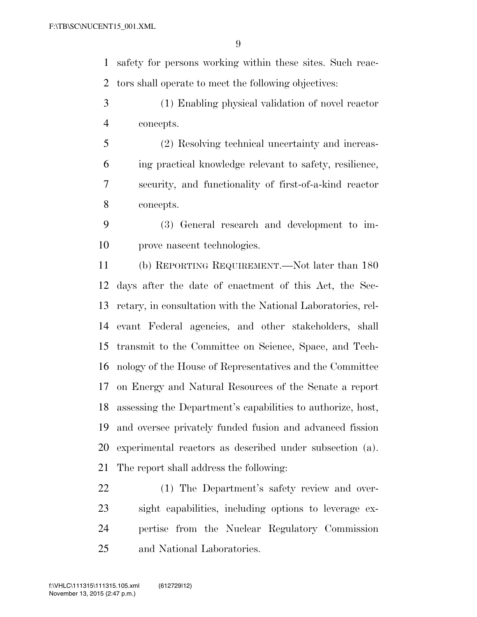safety for persons working within these sites. Such reac-tors shall operate to meet the following objectives:

- (1) Enabling physical validation of novel reactor concepts.
- (2) Resolving technical uncertainty and increas- ing practical knowledge relevant to safety, resilience, security, and functionality of first-of-a-kind reactor concepts.
- (3) General research and development to im-prove nascent technologies.

 (b) REPORTING REQUIREMENT.—Not later than 180 days after the date of enactment of this Act, the Sec- retary, in consultation with the National Laboratories, rel- evant Federal agencies, and other stakeholders, shall transmit to the Committee on Science, Space, and Tech- nology of the House of Representatives and the Committee on Energy and Natural Resources of the Senate a report assessing the Department's capabilities to authorize, host, and oversee privately funded fusion and advanced fission experimental reactors as described under subsection (a). The report shall address the following:

 (1) The Department's safety review and over- sight capabilities, including options to leverage ex- pertise from the Nuclear Regulatory Commission and National Laboratories.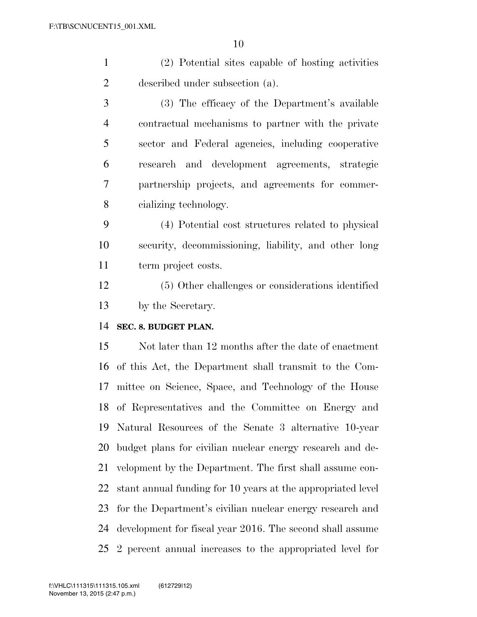(2) Potential sites capable of hosting activities described under subsection (a).

 (3) The efficacy of the Department's available contractual mechanisms to partner with the private sector and Federal agencies, including cooperative research and development agreements, strategic partnership projects, and agreements for commer-cializing technology.

 (4) Potential cost structures related to physical security, decommissioning, liability, and other long term project costs.

 (5) Other challenges or considerations identified by the Secretary.

#### **SEC. 8. BUDGET PLAN.**

 Not later than 12 months after the date of enactment of this Act, the Department shall transmit to the Com- mittee on Science, Space, and Technology of the House of Representatives and the Committee on Energy and Natural Resources of the Senate 3 alternative 10-year budget plans for civilian nuclear energy research and de- velopment by the Department. The first shall assume con- stant annual funding for 10 years at the appropriated level for the Department's civilian nuclear energy research and development for fiscal year 2016. The second shall assume 2 percent annual increases to the appropriated level for